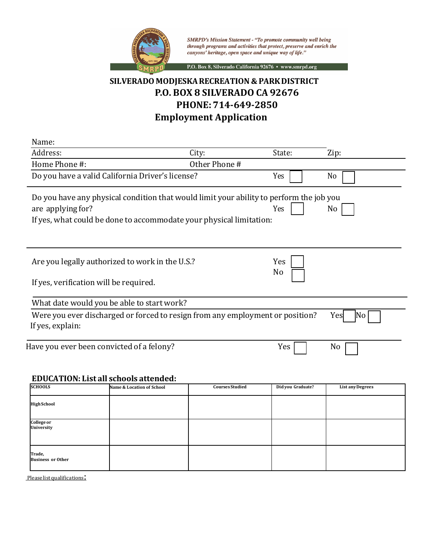

SMRPD's Mission Statement - "To promote community well being<br>through programs and activities that protect, preserve and enrich the canyons' heritage, open space and unique way of life."

P.O. Box 8, Silverado California 92676 · www.smrpd.org

## **SILVERADO MODJESKARECREATION & PARKDISTRICT P.O. BOX 8 SILVERADO CA 92676 PHONE:714-649-2850 Employment Application**

| Name:                                                                                   |                        |                   |                         |  |  |
|-----------------------------------------------------------------------------------------|------------------------|-------------------|-------------------------|--|--|
| Address:                                                                                | City:                  | State:            | Zip:                    |  |  |
| Home Phone #:                                                                           | Other Phone #          |                   |                         |  |  |
| Do you have a valid California Driver's license?                                        |                        | Yes               | No                      |  |  |
| Do you have any physical condition that would limit your ability to perform the job you |                        |                   |                         |  |  |
| are applying for?                                                                       |                        | Yes               | No                      |  |  |
| If yes, what could be done to accommodate your physical limitation:                     |                        |                   |                         |  |  |
|                                                                                         |                        |                   |                         |  |  |
|                                                                                         |                        |                   |                         |  |  |
| Are you legally authorized to work in the U.S.?                                         |                        | Yes               |                         |  |  |
|                                                                                         |                        | No                |                         |  |  |
| If yes, verification will be required.                                                  |                        |                   |                         |  |  |
|                                                                                         |                        |                   |                         |  |  |
| What date would you be able to start work?                                              |                        |                   |                         |  |  |
| Were you ever discharged or forced to resign from any employment or position?           |                        |                   | No<br>Yes               |  |  |
| If yes, explain:                                                                        |                        |                   |                         |  |  |
| Have you ever been convicted of a felony?                                               |                        | Yes               | No                      |  |  |
|                                                                                         |                        |                   |                         |  |  |
|                                                                                         |                        |                   |                         |  |  |
| <b>EDUCATION: List all schools attended:</b>                                            |                        |                   |                         |  |  |
| <b>SCHOOLS</b><br>Name & Location of School                                             | <b>Courses Studied</b> | Did vou Graduate? | <b>List any Degrees</b> |  |  |

| SCHOOLS                            | <b>Name &amp; Location of School</b> | <b>Courses Studied</b> | Did you Graduate? | <b>List any Degrees</b> |
|------------------------------------|--------------------------------------|------------------------|-------------------|-------------------------|
| <b>High School</b>                 |                                      |                        |                   |                         |
| College or<br><b>University</b>    |                                      |                        |                   |                         |
| Trade,<br><b>Business or Other</b> |                                      |                        |                   |                         |

Please list qualifications: